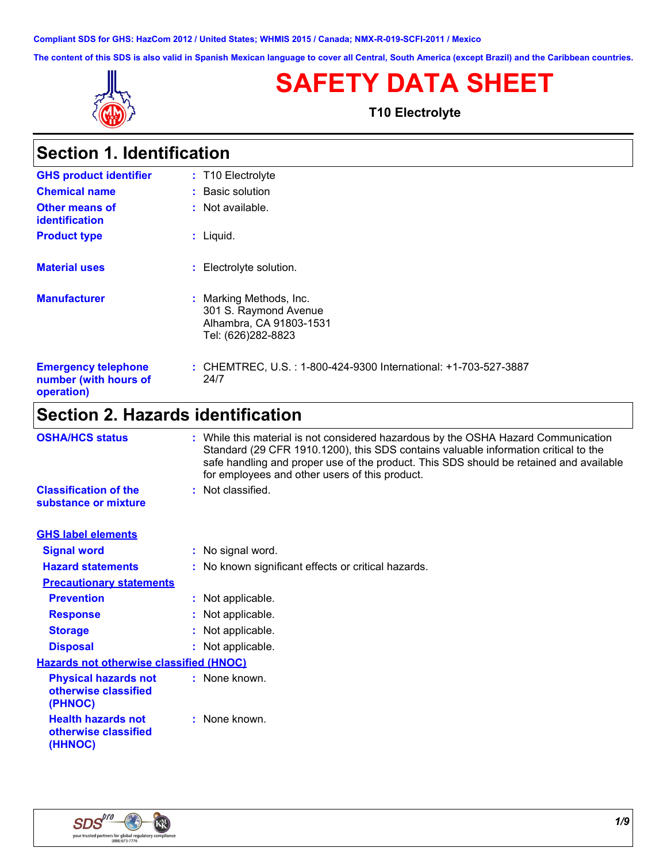**Compliant SDS for GHS: HazCom 2012 / United States; WHMIS 2015 / Canada; NMX-R-019-SCFI-2011 / Mexico**

**The content of this SDS is also valid in Spanish Mexican language to cover all Central, South America (except Brazil) and the Caribbean countries.**



г

# **SAFETY DATA SHEET**

**T10 Electrolyte**

| <b>Section 1. Identification</b>                                  |                                                                                                   |
|-------------------------------------------------------------------|---------------------------------------------------------------------------------------------------|
| <b>GHS product identifier</b>                                     | $: 710$ Electrolyte                                                                               |
| <b>Chemical name</b>                                              | : Basic solution                                                                                  |
| <b>Other means of</b><br><b>identification</b>                    | : Not available.                                                                                  |
| <b>Product type</b>                                               | $:$ Liquid.                                                                                       |
| <b>Material uses</b>                                              | Electrolyte solution.                                                                             |
| <b>Manufacturer</b>                                               | : Marking Methods, Inc.<br>301 S. Raymond Avenue<br>Alhambra, CA 91803-1531<br>Tel: (626)282-8823 |
| <b>Emergency telephone</b><br>number (with hours of<br>operation) | : CHEMTREC, U.S. : 1-800-424-9300 International: +1-703-527-3887<br>24/7                          |

### **Section 2. Hazards identification**

| <b>OSHA/HCS status</b>                                         | : While this material is not considered hazardous by the OSHA Hazard Communication<br>Standard (29 CFR 1910.1200), this SDS contains valuable information critical to the<br>safe handling and proper use of the product. This SDS should be retained and available<br>for employees and other users of this product. |
|----------------------------------------------------------------|-----------------------------------------------------------------------------------------------------------------------------------------------------------------------------------------------------------------------------------------------------------------------------------------------------------------------|
| <b>Classification of the</b><br>substance or mixture           | : Not classified.                                                                                                                                                                                                                                                                                                     |
| <b>GHS label elements</b>                                      |                                                                                                                                                                                                                                                                                                                       |
| <b>Signal word</b>                                             | : No signal word.                                                                                                                                                                                                                                                                                                     |
| <b>Hazard statements</b>                                       | : No known significant effects or critical hazards.                                                                                                                                                                                                                                                                   |
| <b>Precautionary statements</b>                                |                                                                                                                                                                                                                                                                                                                       |
| <b>Prevention</b>                                              | : Not applicable.                                                                                                                                                                                                                                                                                                     |
| <b>Response</b>                                                | : Not applicable.                                                                                                                                                                                                                                                                                                     |
| <b>Storage</b>                                                 | : Not applicable.                                                                                                                                                                                                                                                                                                     |
| <b>Disposal</b>                                                | : Not applicable.                                                                                                                                                                                                                                                                                                     |
| <b>Hazards not otherwise classified (HNOC)</b>                 |                                                                                                                                                                                                                                                                                                                       |
| <b>Physical hazards not</b><br>otherwise classified<br>(PHNOC) | : None known.                                                                                                                                                                                                                                                                                                         |
| <b>Health hazards not</b><br>otherwise classified<br>(HHNOC)   | : None known.                                                                                                                                                                                                                                                                                                         |

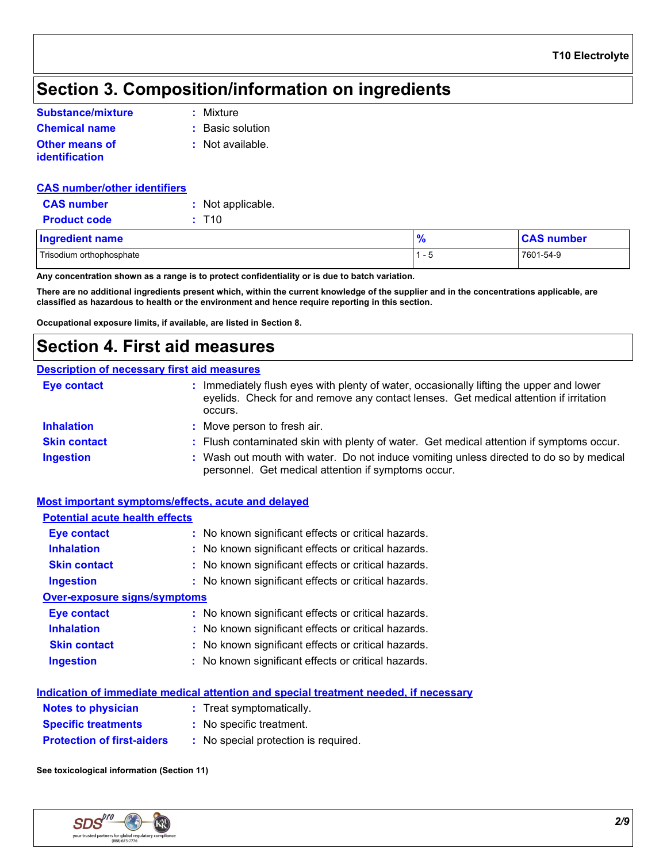# **Section 3. Composition/information on ingredients**

| Substance/mixture                | : Mixture        |
|----------------------------------|------------------|
| <b>Chemical name</b>             | : Basic solution |
| Other means of<br>identification | : Not available. |

| <b>CAS number/other identifiers</b> |                   |
|-------------------------------------|-------------------|
| <b>CAS number</b>                   | : Not applicable. |
| <b>Product code</b>                 | : T10             |
| <b>Ingradiant nama</b>              |                   |

Trisodium orthophosphate 7601-54-9 **Ingredient name % CAS number**

**Any concentration shown as a range is to protect confidentiality or is due to batch variation.**

**There are no additional ingredients present which, within the current knowledge of the supplier and in the concentrations applicable, are classified as hazardous to health or the environment and hence require reporting in this section.**

**Occupational exposure limits, if available, are listed in Section 8.**

### **Section 4. First aid measures**

#### **Description of necessary first aid measures**

| <b>Eye contact</b>  | Immediately flush eyes with plenty of water, occasionally lifting the upper and lower<br>eyelids. Check for and remove any contact lenses. Get medical attention if irritation<br>occurs. |  |
|---------------------|-------------------------------------------------------------------------------------------------------------------------------------------------------------------------------------------|--|
| <b>Inhalation</b>   | Move person to fresh air.                                                                                                                                                                 |  |
| <b>Skin contact</b> | : Flush contaminated skin with plenty of water. Get medical attention if symptoms occur.                                                                                                  |  |
| <b>Ingestion</b>    | Wash out mouth with water. Do not induce vomiting unless directed to do so by medical<br>personnel. Get medical attention if symptoms occur.                                              |  |

#### **Most important symptoms/effects, acute and delayed**

| <b>Potential acute health effects</b> |                                                     |
|---------------------------------------|-----------------------------------------------------|
| <b>Eye contact</b>                    | : No known significant effects or critical hazards. |
| <b>Inhalation</b>                     | : No known significant effects or critical hazards. |
| <b>Skin contact</b>                   | : No known significant effects or critical hazards. |
| <b>Ingestion</b>                      | : No known significant effects or critical hazards. |
| Over-exposure signs/symptoms          |                                                     |
| <b>Eye contact</b>                    | : No known significant effects or critical hazards. |
| <b>Inhalation</b>                     | : No known significant effects or critical hazards. |
| <b>Skin contact</b>                   | : No known significant effects or critical hazards. |
| <b>Ingestion</b>                      | : No known significant effects or critical hazards. |

#### **Indication of immediate medical attention and special treatment needed, if necessary**

| <b>Notes to physician</b>         | : Treat symptomatically.             |  |
|-----------------------------------|--------------------------------------|--|
| <b>Specific treatments</b>        | : No specific treatment.             |  |
| <b>Protection of first-aiders</b> | : No special protection is required. |  |

**See toxicological information (Section 11)**

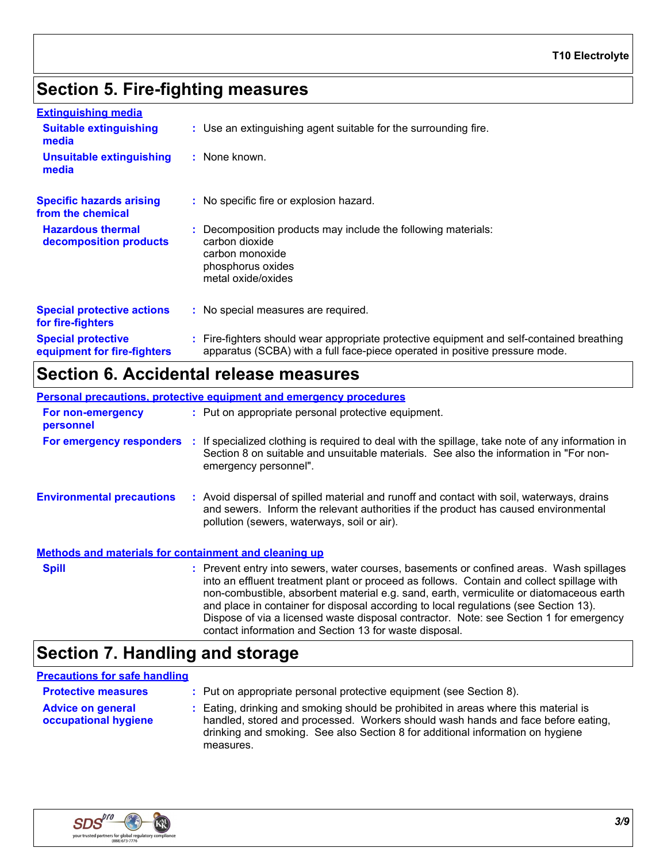# **Section 5. Fire-fighting measures**

| <b>Extinguishing media</b><br><b>Suitable extinguishing</b><br>media | : Use an extinguishing agent suitable for the surrounding fire.                                                                                                          |
|----------------------------------------------------------------------|--------------------------------------------------------------------------------------------------------------------------------------------------------------------------|
| <b>Unsuitable extinguishing</b><br>media                             | : None known.                                                                                                                                                            |
| <b>Specific hazards arising</b><br>from the chemical                 | : No specific fire or explosion hazard.                                                                                                                                  |
| <b>Hazardous thermal</b><br>decomposition products                   | : Decomposition products may include the following materials:<br>carbon dioxide<br>carbon monoxide<br>phosphorus oxides<br>metal oxide/oxides                            |
| <b>Special protective actions</b><br>for fire-fighters               | : No special measures are required.                                                                                                                                      |
| <b>Special protective</b><br>equipment for fire-fighters             | : Fire-fighters should wear appropriate protective equipment and self-contained breathing<br>apparatus (SCBA) with a full face-piece operated in positive pressure mode. |

## **Section 6. Accidental release measures**

|                                                              |     | <b>Personal precautions, protective equipment and emergency procedures</b>                                                                                                                                                                                                                                                                                                                                                                                                                                                  |
|--------------------------------------------------------------|-----|-----------------------------------------------------------------------------------------------------------------------------------------------------------------------------------------------------------------------------------------------------------------------------------------------------------------------------------------------------------------------------------------------------------------------------------------------------------------------------------------------------------------------------|
| For non-emergency<br>personnel                               |     | : Put on appropriate personal protective equipment.                                                                                                                                                                                                                                                                                                                                                                                                                                                                         |
| For emergency responders                                     | -11 | If specialized clothing is required to deal with the spillage, take note of any information in<br>Section 8 on suitable and unsuitable materials. See also the information in "For non-<br>emergency personnel".                                                                                                                                                                                                                                                                                                            |
| <b>Environmental precautions</b>                             |     | : Avoid dispersal of spilled material and runoff and contact with soil, waterways, drains<br>and sewers. Inform the relevant authorities if the product has caused environmental<br>pollution (sewers, waterways, soil or air).                                                                                                                                                                                                                                                                                             |
| <b>Methods and materials for containment and cleaning up</b> |     |                                                                                                                                                                                                                                                                                                                                                                                                                                                                                                                             |
| <b>Spill</b>                                                 |     | : Prevent entry into sewers, water courses, basements or confined areas. Wash spillages<br>into an effluent treatment plant or proceed as follows. Contain and collect spillage with<br>non-combustible, absorbent material e.g. sand, earth, vermiculite or diatomaceous earth<br>and place in container for disposal according to local regulations (see Section 13).<br>Dispose of via a licensed waste disposal contractor. Note: see Section 1 for emergency<br>contact information and Section 13 for waste disposal. |

# **Section 7. Handling and storage**

#### **Precautions for safe handling**

| <b>Protective measures</b>                       | : Put on appropriate personal protective equipment (see Section 8).                                                                                                                                                                                                    |
|--------------------------------------------------|------------------------------------------------------------------------------------------------------------------------------------------------------------------------------------------------------------------------------------------------------------------------|
| <b>Advice on general</b><br>occupational hygiene | : Eating, drinking and smoking should be prohibited in areas where this material is<br>handled, stored and processed. Workers should wash hands and face before eating,<br>drinking and smoking. See also Section 8 for additional information on hygiene<br>measures. |

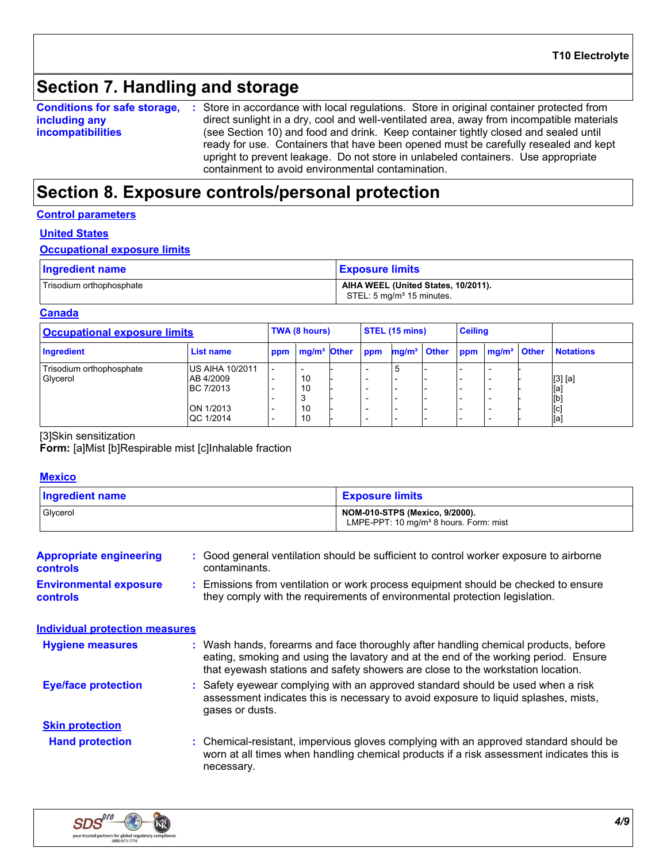## **Section 7. Handling and storage**

**Conditions for safe storage,** : Store in accordance with local regulations. Store in original container protected from **including any incompatibilities** direct sunlight in a dry, cool and well-ventilated area, away from incompatible materials (see Section 10) and food and drink. Keep container tightly closed and sealed until ready for use. Containers that have been opened must be carefully resealed and kept upright to prevent leakage. Do not store in unlabeled containers. Use appropriate containment to avoid environmental contamination.

### **Section 8. Exposure controls/personal protection**

#### **Control parameters**

#### **United States**

#### **Occupational exposure limits**

| <b>Ingredient name</b>   | <b>Exposure limits</b>                                                       |
|--------------------------|------------------------------------------------------------------------------|
| Trisodium orthophosphate | AIHA WEEL (United States, 10/2011).<br>STEL: 5 mg/m <sup>3</sup> 15 minutes. |

#### **Canada**

| <b>Occupational exposure limits</b>  |                                                  | TWA (8 hours) |                         |  | STEL(15 mins) |                                                                                  |                                                     | <b>Ceiling</b>                                       |  |  |                   |
|--------------------------------------|--------------------------------------------------|---------------|-------------------------|--|---------------|----------------------------------------------------------------------------------|-----------------------------------------------------|------------------------------------------------------|--|--|-------------------|
| Ingredient                           | List name                                        | ppm           | mg/m <sup>3</sup> Other |  | ppm           |                                                                                  | mg/m <sup>3</sup> Other ppm mg/m <sup>3</sup> Other |                                                      |  |  | <b>Notations</b>  |
| Trisodium orthophosphate<br>Glycerol | <b>US AIHA 10/2011</b><br>AB 4/2009<br>BC 7/2013 |               | 10<br>10                |  |               | ა<br>$\overline{\phantom{0}}$<br>-                                               |                                                     |                                                      |  |  | $[3]$ [a]<br>[a]  |
|                                      | <b>ON 1/2013</b><br><b>IQC 1/2014</b>            |               | 10<br>10                |  |               | $\overline{\phantom{0}}$<br>$\overline{\phantom{0}}$<br>$\overline{\phantom{0}}$ | -<br>$\overline{\phantom{0}}$                       | $\overline{\phantom{0}}$<br>$\overline{\phantom{0}}$ |  |  | [b]<br>[c]<br>[a] |

[3]Skin sensitization

**Form:** [a]Mist [b]Respirable mist [c]Inhalable fraction

#### **Mexico**

| Ingredient name | <b>Exposure limits</b>                                                                      |
|-----------------|---------------------------------------------------------------------------------------------|
| Glycerol        | <b>NOM-010-STPS (Mexico, 9/2000).</b><br>LMPE-PPT: 10 mg/m <sup>3</sup> 8 hours. Form: mist |

| <b>Appropriate engineering</b><br>controls       | : Good general ventilation should be sufficient to control worker exposure to airborne<br>contaminants.                                                                                                                                                       |
|--------------------------------------------------|---------------------------------------------------------------------------------------------------------------------------------------------------------------------------------------------------------------------------------------------------------------|
| <b>Environmental exposure</b><br><b>controls</b> | : Emissions from ventilation or work process equipment should be checked to ensure<br>they comply with the requirements of environmental protection legislation.                                                                                              |
| <b>Individual protection measures</b>            |                                                                                                                                                                                                                                                               |
| <b>Hygiene measures</b>                          | : Wash hands, forearms and face thoroughly after handling chemical products, before<br>eating, smoking and using the lavatory and at the end of the working period. Ensure<br>that eyewash stations and safety showers are close to the workstation location. |
| <b>Eye/face protection</b>                       | : Safety eyewear complying with an approved standard should be used when a risk<br>assessment indicates this is necessary to avoid exposure to liquid splashes, mists,<br>gases or dusts.                                                                     |
| <b>Skin protection</b>                           |                                                                                                                                                                                                                                                               |
| <b>Hand protection</b>                           | : Chemical-resistant, impervious gloves complying with an approved standard should be<br>worn at all times when handling chemical products if a risk assessment indicates this is<br>necessary.                                                               |

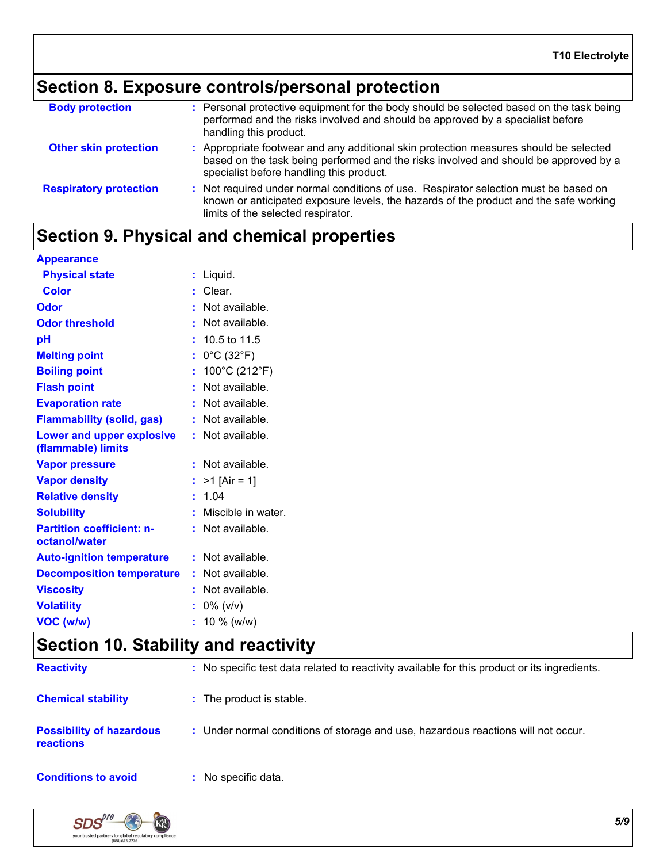# **Section 8. Exposure controls/personal protection**

| <b>Body protection</b>        | : Personal protective equipment for the body should be selected based on the task being<br>performed and the risks involved and should be approved by a specialist before<br>handling this product.                     |
|-------------------------------|-------------------------------------------------------------------------------------------------------------------------------------------------------------------------------------------------------------------------|
| <b>Other skin protection</b>  | Appropriate footwear and any additional skin protection measures should be selected<br>based on the task being performed and the risks involved and should be approved by a<br>specialist before handling this product. |
| <b>Respiratory protection</b> | : Not required under normal conditions of use. Respirator selection must be based on<br>known or anticipated exposure levels, the hazards of the product and the safe working<br>limits of the selected respirator.     |

# **Section 9. Physical and chemical properties**

| <b>Appearance</b>                                 |                                      |  |
|---------------------------------------------------|--------------------------------------|--|
| <b>Physical state</b>                             | $:$ Liquid.                          |  |
| <b>Color</b>                                      | : Clear.                             |  |
| <b>Odor</b>                                       | $:$ Not available.                   |  |
| <b>Odor threshold</b>                             | : Not available.                     |  |
| pH                                                | $: 10.5$ to 11.5                     |  |
| <b>Melting point</b>                              | : $0^{\circ}$ C (32 $^{\circ}$ F)    |  |
| <b>Boiling point</b>                              | : $100^{\circ}$ C (212 $^{\circ}$ F) |  |
| <b>Flash point</b>                                | : Not available.                     |  |
| <b>Evaporation rate</b>                           | : Not available.                     |  |
| <b>Flammability (solid, gas)</b>                  | : Not available.                     |  |
| <b>Lower and upper explosive</b>                  | : Not available.                     |  |
| (flammable) limits                                |                                      |  |
| <b>Vapor pressure</b>                             | : Not available.                     |  |
| <b>Vapor density</b>                              | : $>1$ [Air = 1]                     |  |
| <b>Relative density</b>                           | : 1.04                               |  |
| <b>Solubility</b>                                 | : Miscible in water.                 |  |
| <b>Partition coefficient: n-</b><br>octanol/water | $:$ Not available.                   |  |
| <b>Auto-ignition temperature</b>                  | : Not available.                     |  |
| <b>Decomposition temperature</b>                  | : Not available.                     |  |
| <b>Viscosity</b>                                  | : Not available.                     |  |
| <b>Volatility</b>                                 | $: 0\%$ (v/v)                        |  |
| VOC (w/w)                                         | $: 10 \%$ (w/w)                      |  |

### **Section 10. Stability and reactivity**

| <b>Reactivity</b>                            | : No specific test data related to reactivity available for this product or its ingredients. |
|----------------------------------------------|----------------------------------------------------------------------------------------------|
| <b>Chemical stability</b>                    | The product is stable.                                                                       |
| <b>Possibility of hazardous</b><br>reactions | : Under normal conditions of storage and use, hazardous reactions will not occur.            |
| <b>Conditions to avoid</b>                   | No specific data.                                                                            |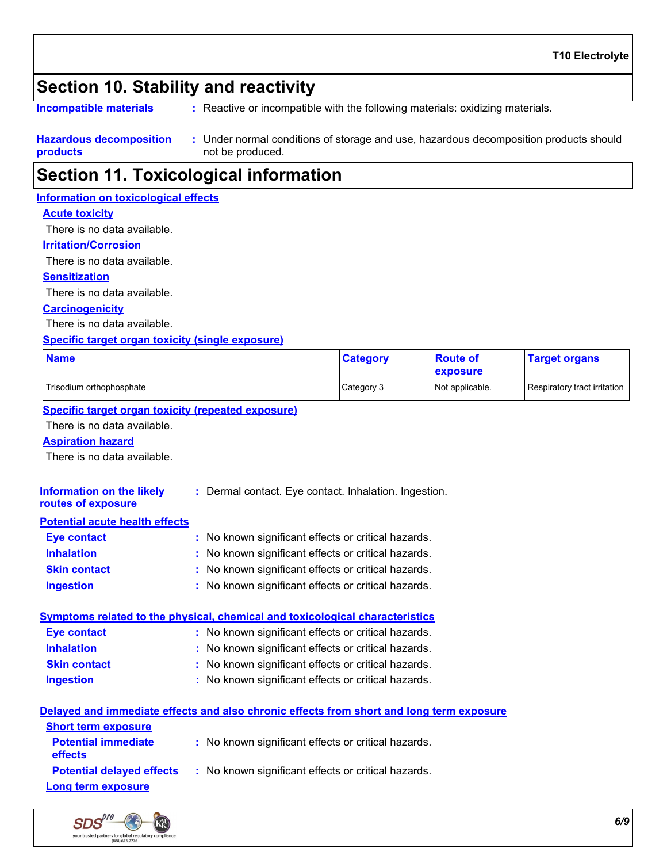### **Section 10. Stability and reactivity**

Reactive or incompatible with the following materials: oxidizing materials. **Incompatible materials :**

**Hazardous decomposition products** Under normal conditions of storage and use, hazardous decomposition products should **:** not be produced.

### **Section 11. Toxicological information**

#### **Information on toxicological effects**

**Acute toxicity**

There is no data available.

**Irritation/Corrosion**

There is no data available.

#### **Sensitization**

There is no data available.

#### **Carcinogenicity**

There is no data available.

#### **Specific target organ toxicity (single exposure)**

| <b>Name</b>              | <b>Category</b> | <b>Route of</b><br><b>exposure</b> | <b>Target organs</b>         |
|--------------------------|-----------------|------------------------------------|------------------------------|
| Trisodium orthophosphate | Category 3      | Not applicable.                    | Respiratory tract irritation |

#### **Specific target organ toxicity (repeated exposure)**

There is no data available.

#### **Aspiration hazard**

There is no data available.

| <b>Information on the likely</b><br>routes of exposure | : Dermal contact. Eye contact. Inhalation. Ingestion.                                                                               |
|--------------------------------------------------------|-------------------------------------------------------------------------------------------------------------------------------------|
| <b>Potential acute health effects</b>                  |                                                                                                                                     |
| <b>Eye contact</b>                                     | : No known significant effects or critical hazards.                                                                                 |
| <b>Inhalation</b>                                      | : No known significant effects or critical hazards.                                                                                 |
| <b>Skin contact</b>                                    | : No known significant effects or critical hazards.                                                                                 |
| <b>Ingestion</b>                                       | : No known significant effects or critical hazards.                                                                                 |
| <b>Eye contact</b>                                     | Symptoms related to the physical, chemical and toxicological characteristics<br>: No known significant effects or critical hazards. |
| <b>Inhalation</b>                                      | : No known significant effects or critical hazards.                                                                                 |
| <b>Skin contact</b>                                    | : No known significant effects or critical hazards.                                                                                 |
| <b>Ingestion</b>                                       | : No known significant effects or critical hazards.                                                                                 |
| <b>Short term exposure</b>                             | Delayed and immediate effects and also chronic effects from short and long term exposure                                            |

| <b>SHOFT TETH EXPOSURE</b>                   |                                                     |
|----------------------------------------------|-----------------------------------------------------|
| <b>Potential immediate</b><br><b>effects</b> | : No known significant effects or critical hazards. |
| <b>Potential delayed effects</b>             | : No known significant effects or critical hazards. |
| Long term exposure                           |                                                     |

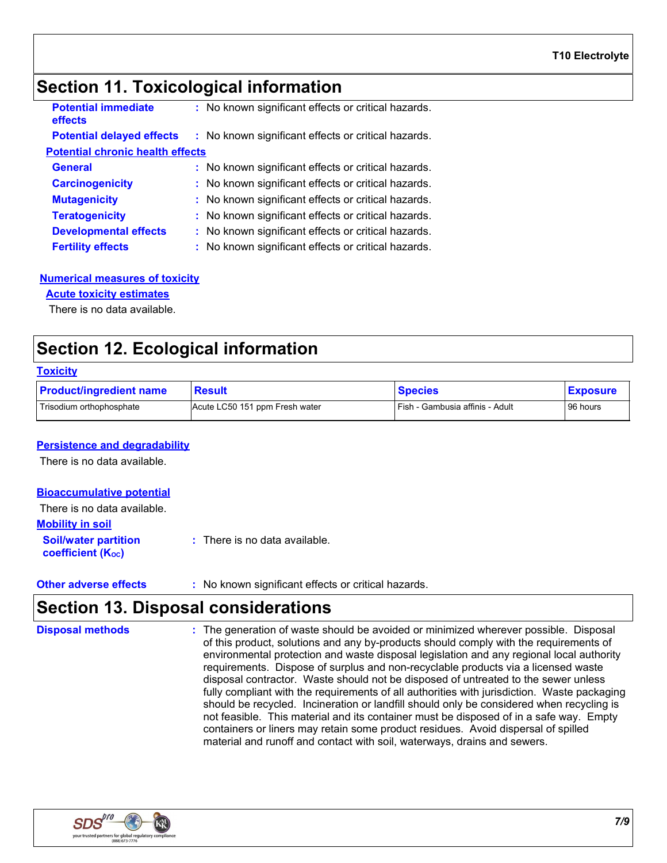### **Section 11. Toxicological information**

| <b>Potential immediate</b><br>effects   | : No known significant effects or critical hazards. |
|-----------------------------------------|-----------------------------------------------------|
| <b>Potential delayed effects</b>        | : No known significant effects or critical hazards. |
| <b>Potential chronic health effects</b> |                                                     |
| <b>General</b>                          | : No known significant effects or critical hazards. |
| <b>Carcinogenicity</b>                  | : No known significant effects or critical hazards. |
| <b>Mutagenicity</b>                     | : No known significant effects or critical hazards. |
| <b>Teratogenicity</b>                   | : No known significant effects or critical hazards. |
| <b>Developmental effects</b>            | : No known significant effects or critical hazards. |
| <b>Fertility effects</b>                | : No known significant effects or critical hazards. |

#### **Numerical measures of toxicity**

#### **Acute toxicity estimates**

There is no data available.

### **Section 12. Ecological information**

| <b>Toxicity</b>                |                                |                                   |                 |
|--------------------------------|--------------------------------|-----------------------------------|-----------------|
| <b>Product/ingredient name</b> | <b>Result</b>                  | <b>Species</b>                    | <b>Exposure</b> |
| Trisodium orthophosphate       | Acute LC50 151 ppm Fresh water | l Fish - Gambusia affinis - Adult | 96 hours        |

#### **Persistence and degradability**

There is no data available.

#### **Bioaccumulative potential**

| There is no data available. |
|-----------------------------|
|-----------------------------|

#### **Mobility in soil**

- **Soil/water partition coefficient (KOC) :** There is no data available.
- **Other adverse effects** : No known significant effects or critical hazards.

### **Section 13. Disposal considerations**

The generation of waste should be avoided or minimized wherever possible. Disposal of this product, solutions and any by-products should comply with the requirements of environmental protection and waste disposal legislation and any regional local authority requirements. Dispose of surplus and non-recyclable products via a licensed waste disposal contractor. Waste should not be disposed of untreated to the sewer unless fully compliant with the requirements of all authorities with jurisdiction. Waste packaging should be recycled. Incineration or landfill should only be considered when recycling is not feasible. This material and its container must be disposed of in a safe way. Empty containers or liners may retain some product residues. Avoid dispersal of spilled material and runoff and contact with soil, waterways, drains and sewers. **Disposal methods :**

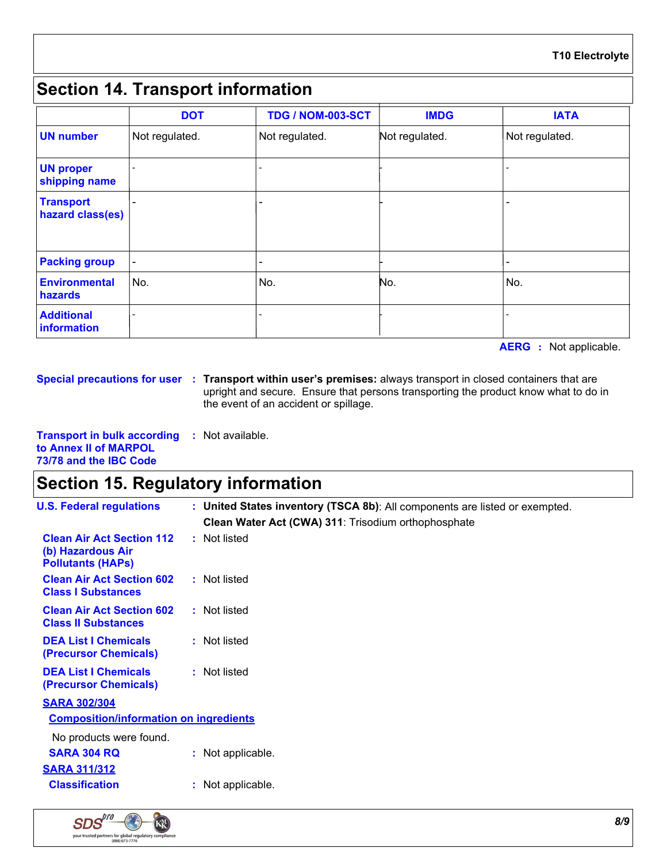# **Section 14. Transport information**

|                                      | <b>DOT</b>     | <b>TDG / NOM-003-SCT</b> | <b>IMDG</b>    | <b>IATA</b>    |
|--------------------------------------|----------------|--------------------------|----------------|----------------|
| <b>UN number</b>                     | Not regulated. | Not regulated.           | Not regulated. | Not regulated. |
| <b>UN proper</b><br>shipping name    |                |                          |                |                |
| <b>Transport</b><br>hazard class(es) |                |                          |                |                |
| <b>Packing group</b>                 |                |                          |                |                |
| <b>Environmental</b><br>hazards      | No.            | No.                      | No.            | No.            |
| <b>Additional</b><br>information     |                |                          |                |                |

**AERG :** Not applicable.

**Special precautions for user Transport within user's premises:** always transport in closed containers that are **:** upright and secure. Ensure that persons transporting the product know what to do in the event of an accident or spillage.

**Transport in bulk according :** Not available. **to Annex II of MARPOL 73/78 and the IBC Code**

### **Section 15. Regulatory information**

| <b>U.S. Federal regulations</b>                                                   | : United States inventory (TSCA 8b): All components are listed or exempted.<br>Clean Water Act (CWA) 311: Trisodium orthophosphate |  |  |  |  |
|-----------------------------------------------------------------------------------|------------------------------------------------------------------------------------------------------------------------------------|--|--|--|--|
| <b>Clean Air Act Section 112</b><br>(b) Hazardous Air<br><b>Pollutants (HAPS)</b> | : Not listed                                                                                                                       |  |  |  |  |
| <b>Clean Air Act Section 602</b><br><b>Class I Substances</b>                     | : Not listed                                                                                                                       |  |  |  |  |
| <b>Clean Air Act Section 602</b><br><b>Class II Substances</b>                    | : Not listed                                                                                                                       |  |  |  |  |
| <b>DEA List I Chemicals</b><br>(Precursor Chemicals)                              | : Not listed                                                                                                                       |  |  |  |  |
| <b>DEA List I Chemicals</b><br>(Precursor Chemicals)                              | : Not listed                                                                                                                       |  |  |  |  |
| <b>SARA 302/304</b><br><b>Composition/information on ingredients</b>              |                                                                                                                                    |  |  |  |  |
| No products were found.<br><b>SARA 304 RQ</b><br><b>SARA 311/312</b>              | : Not applicable.                                                                                                                  |  |  |  |  |
| <b>Classification</b>                                                             | : Not applicable.                                                                                                                  |  |  |  |  |